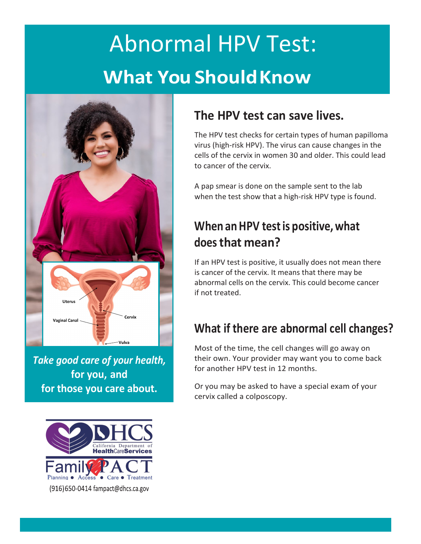# Abnormal HPV Test: **What You ShouldKnow**



*Take good care of your health,* **for you, and for those you care about.**



### **The HPV test can save lives.**

The HPV test checks for certain types of human papilloma virus (high-risk HPV). The virus can cause changes in the cells of the cervix in women 30 and older. This could lead to cancer of the cervix.

A pap smear is done on the sample sent to the lab when the test show that a high-risk HPV type is found.

# **When an HPV testis positive, what does that mean?**

If an HPV test is positive, it usually does not mean there is cancer of the cervix. It means that there may be abnormal cells on the cervix. This could become cancer if not treated.

### **What if there are abnormal cell changes?**

Most of the time, the cell changes will go away on their own. Your provider may want you to come back for another HPV test in 12 months.

Or you may be asked to have a special exam of your cervix called a colposcopy.